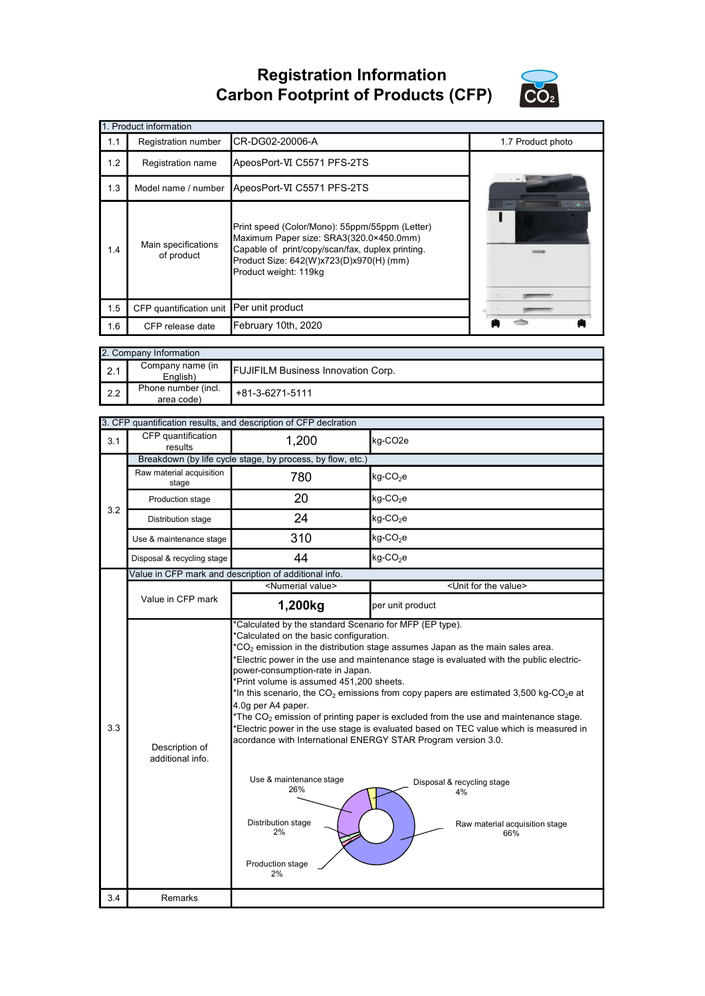Registration Information Carbon Footprint of Products (CFP)



|     | 1. Product information                   |                                                                                                                                                                                                                   |                   |
|-----|------------------------------------------|-------------------------------------------------------------------------------------------------------------------------------------------------------------------------------------------------------------------|-------------------|
| 1.1 | Registration number                      | CR-DG02-20006-A                                                                                                                                                                                                   | 1.7 Product photo |
| 1.2 | <b>Registration name</b>                 | ApeosPort-VI C5571 PFS-2TS                                                                                                                                                                                        |                   |
| 1.3 | Model name / number                      | ApeosPort-VI C5571 PFS-2TS                                                                                                                                                                                        |                   |
| 1.4 | Main specifications<br>of product        | Print speed (Color/Mono): 55ppm/55ppm (Letter)<br>Maximum Paper size: SRA3(320.0×450.0mm)<br>Capable of print/copy/scan/fax, duplex printing.<br>Product Size: 642(W)x723(D)x970(H) (mm)<br>Product weight: 119kg |                   |
| 1.5 | CFP quantification unit Per unit product |                                                                                                                                                                                                                   |                   |
| 1.6 | CFP release date                         | February 10th, 2020                                                                                                                                                                                               |                   |

| 2. Company Information |                                   |                                           |  |
|------------------------|-----------------------------------|-------------------------------------------|--|
| 2.1                    | Company name (in<br>English)      | <b>FUJIFILM Business Innovation Corp.</b> |  |
| 2.2                    | Phone number (incl.<br>area code) | +81-3-6271-5111                           |  |

| CFP quantification<br>1,200<br>kg-CO2e<br>3.1<br>results<br>Breakdown (by life cycle stage, by process, by flow, etc.)<br>Raw material acquisition<br>780<br>kg-CO <sub>2</sub> e<br>stage<br>20<br>kg-CO <sub>2</sub> e<br>Production stage<br>3.2<br>24<br>$kg$ -CO <sub>2</sub> e<br>Distribution stage<br>310<br>kg-CO <sub>2</sub> e<br>Use & maintenance stage<br>44<br>$kg$ -CO <sub>2</sub> e<br>Disposal & recycling stage<br>Value in CFP mark and description of additional info.<br><numerial value=""><br/><unit for="" the="" value=""><br/>Value in CFP mark<br/>1,200kg<br/>per unit product<br/>*Calculated by the standard Scenario for MFP (EP type).<br/>*Calculated on the basic configuration.<br/><math>^*CO_2</math> emission in the distribution stage assumes Japan as the main sales area.<br/>*Electric power in the use and maintenance stage is evaluated with the public electric-<br/>power-consumption-rate in Japan.<br/>*Print volume is assumed 451,200 sheets.<br/>*In this scenario, the CO<sub>2</sub> emissions from copy papers are estimated 3,500 kg-CO<sub>2</sub>e at<br/>4.0g per A4 paper.<br/>*The <math>CO2</math> emission of printing paper is excluded from the use and maintenance stage.<br/>3.3<br/>'Electric power in the use stage is evaluated based on TEC value which is measured in<br/>acordance with International ENERGY STAR Program version 3.0.<br/>Description of<br/>additional info.<br/>Use &amp; maintenance stage<br/>Disposal &amp; recycling stage<br/>26%<br/>4%<br/>Distribution stage<br/>Raw material acquisition stage<br/>2%<br/>66%<br/>Production stage<br/>2%<br/>3.4<br/>Remarks</unit></numerial> |  | 3. CFP quantification results, and description of CFP declration |  |
|-----------------------------------------------------------------------------------------------------------------------------------------------------------------------------------------------------------------------------------------------------------------------------------------------------------------------------------------------------------------------------------------------------------------------------------------------------------------------------------------------------------------------------------------------------------------------------------------------------------------------------------------------------------------------------------------------------------------------------------------------------------------------------------------------------------------------------------------------------------------------------------------------------------------------------------------------------------------------------------------------------------------------------------------------------------------------------------------------------------------------------------------------------------------------------------------------------------------------------------------------------------------------------------------------------------------------------------------------------------------------------------------------------------------------------------------------------------------------------------------------------------------------------------------------------------------------------------------------------------------------------------------------------------------------------------------|--|------------------------------------------------------------------|--|
|                                                                                                                                                                                                                                                                                                                                                                                                                                                                                                                                                                                                                                                                                                                                                                                                                                                                                                                                                                                                                                                                                                                                                                                                                                                                                                                                                                                                                                                                                                                                                                                                                                                                                         |  |                                                                  |  |
|                                                                                                                                                                                                                                                                                                                                                                                                                                                                                                                                                                                                                                                                                                                                                                                                                                                                                                                                                                                                                                                                                                                                                                                                                                                                                                                                                                                                                                                                                                                                                                                                                                                                                         |  |                                                                  |  |
|                                                                                                                                                                                                                                                                                                                                                                                                                                                                                                                                                                                                                                                                                                                                                                                                                                                                                                                                                                                                                                                                                                                                                                                                                                                                                                                                                                                                                                                                                                                                                                                                                                                                                         |  |                                                                  |  |
|                                                                                                                                                                                                                                                                                                                                                                                                                                                                                                                                                                                                                                                                                                                                                                                                                                                                                                                                                                                                                                                                                                                                                                                                                                                                                                                                                                                                                                                                                                                                                                                                                                                                                         |  |                                                                  |  |
|                                                                                                                                                                                                                                                                                                                                                                                                                                                                                                                                                                                                                                                                                                                                                                                                                                                                                                                                                                                                                                                                                                                                                                                                                                                                                                                                                                                                                                                                                                                                                                                                                                                                                         |  |                                                                  |  |
|                                                                                                                                                                                                                                                                                                                                                                                                                                                                                                                                                                                                                                                                                                                                                                                                                                                                                                                                                                                                                                                                                                                                                                                                                                                                                                                                                                                                                                                                                                                                                                                                                                                                                         |  |                                                                  |  |
|                                                                                                                                                                                                                                                                                                                                                                                                                                                                                                                                                                                                                                                                                                                                                                                                                                                                                                                                                                                                                                                                                                                                                                                                                                                                                                                                                                                                                                                                                                                                                                                                                                                                                         |  |                                                                  |  |
|                                                                                                                                                                                                                                                                                                                                                                                                                                                                                                                                                                                                                                                                                                                                                                                                                                                                                                                                                                                                                                                                                                                                                                                                                                                                                                                                                                                                                                                                                                                                                                                                                                                                                         |  |                                                                  |  |
|                                                                                                                                                                                                                                                                                                                                                                                                                                                                                                                                                                                                                                                                                                                                                                                                                                                                                                                                                                                                                                                                                                                                                                                                                                                                                                                                                                                                                                                                                                                                                                                                                                                                                         |  |                                                                  |  |
|                                                                                                                                                                                                                                                                                                                                                                                                                                                                                                                                                                                                                                                                                                                                                                                                                                                                                                                                                                                                                                                                                                                                                                                                                                                                                                                                                                                                                                                                                                                                                                                                                                                                                         |  |                                                                  |  |
|                                                                                                                                                                                                                                                                                                                                                                                                                                                                                                                                                                                                                                                                                                                                                                                                                                                                                                                                                                                                                                                                                                                                                                                                                                                                                                                                                                                                                                                                                                                                                                                                                                                                                         |  |                                                                  |  |
|                                                                                                                                                                                                                                                                                                                                                                                                                                                                                                                                                                                                                                                                                                                                                                                                                                                                                                                                                                                                                                                                                                                                                                                                                                                                                                                                                                                                                                                                                                                                                                                                                                                                                         |  |                                                                  |  |